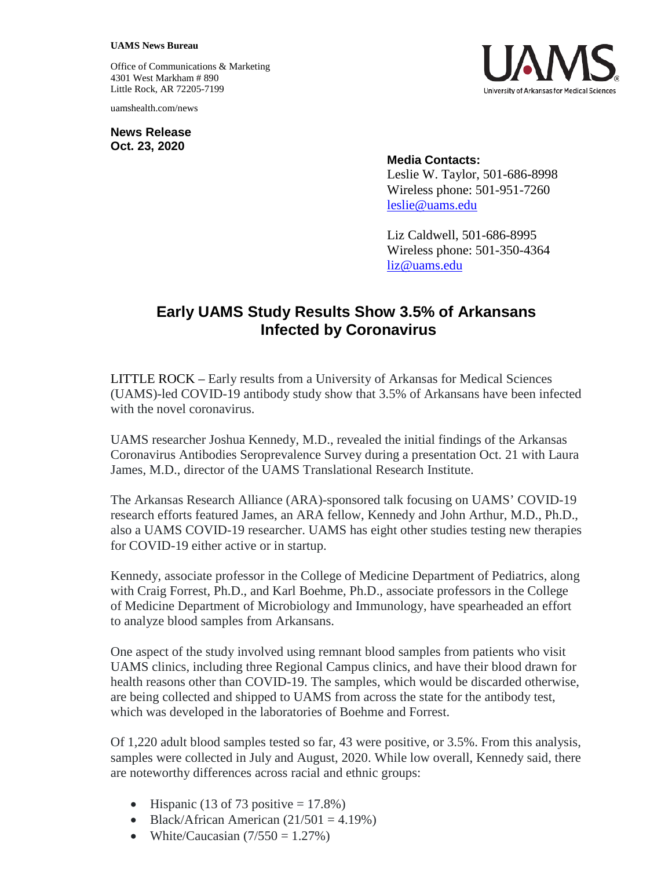#### **UAMS News Bureau**

Office of Communications & Marketing 4301 West Markham # 890 Little Rock, AR 72205-7199

uamshealth.com/news

**News Release Oct. 23, 2020**



### **Media Contacts:**

Leslie W. Taylor, 501-686-8998 Wireless phone: 501-951-7260 [leslie@uams.edu](mailto:leslie@uams.edu)

Liz Caldwell, 501-686-8995 Wireless phone: 501-350-4364 [liz@uams.edu](mailto:liz@uams.edu)

# **Early UAMS Study Results Show 3.5% of Arkansans Infected by Coronavirus**

LITTLE ROCK – Early results from a University of Arkansas for Medical Sciences (UAMS)-led COVID-19 antibody study show that 3.5% of Arkansans have been infected with the novel coronavirus.

UAMS researcher Joshua Kennedy, M.D., revealed the initial findings of the Arkansas Coronavirus Antibodies Seroprevalence Survey during a presentation Oct. 21 with Laura James, M.D., director of the UAMS Translational Research Institute.

The Arkansas Research Alliance (ARA)-sponsored talk focusing on UAMS' COVID-19 research efforts featured James, an ARA fellow, Kennedy and John Arthur, M.D., Ph.D., also a UAMS COVID-19 researcher. UAMS has eight other studies testing new therapies for COVID-19 either active or in startup.

Kennedy, associate professor in the College of Medicine Department of Pediatrics, along with Craig Forrest, Ph.D., and Karl Boehme, Ph.D., associate professors in the College of Medicine Department of Microbiology and Immunology, have spearheaded an effort to analyze blood samples from Arkansans.

One aspect of the study involved using remnant blood samples from patients who visit UAMS clinics, including three Regional Campus clinics, and have their blood drawn for health reasons other than COVID-19. The samples, which would be discarded otherwise, are being collected and shipped to UAMS from across the state for the antibody test, which was developed in the laboratories of Boehme and Forrest.

Of 1,220 adult blood samples tested so far, 43 were positive, or 3.5%. From this analysis, samples were collected in July and August, 2020. While low overall, Kennedy said, there are noteworthy differences across racial and ethnic groups:

- Hispanic (13 of 73 positive  $= 17.8\%$ )
- Black/African American  $(21/501 = 4.19\%)$
- White/Caucasian  $(7/550 = 1.27\%)$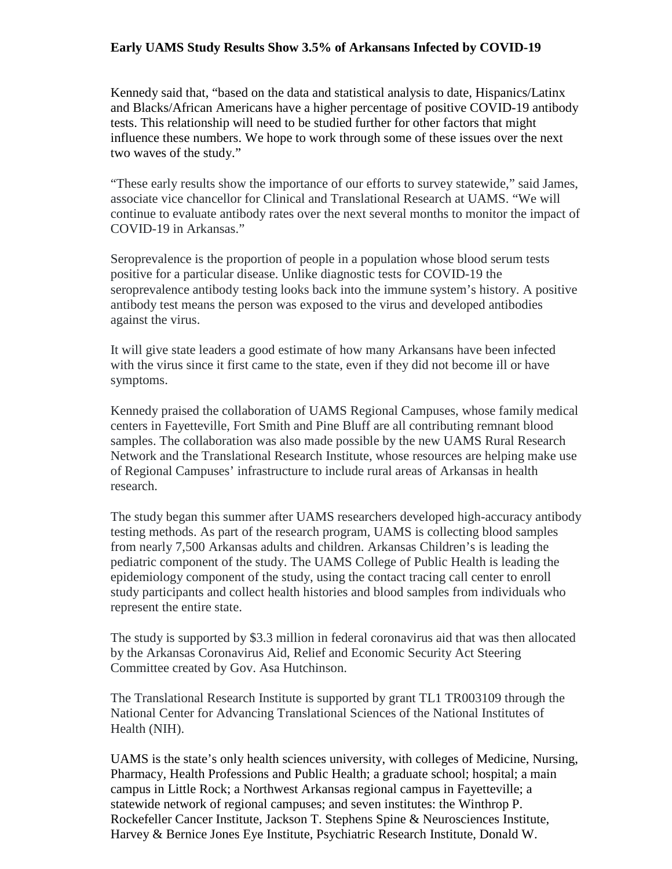## **Early UAMS Study Results Show 3.5% of Arkansans Infected by COVID-19**

Kennedy said that, "based on the data and statistical analysis to date, Hispanics/Latinx and Blacks/African Americans have a higher percentage of positive COVID-19 antibody tests. This relationship will need to be studied further for other factors that might influence these numbers. We hope to work through some of these issues over the next two waves of the study."

"These early results show the importance of our efforts to survey statewide," said James, associate vice chancellor for Clinical and Translational Research at UAMS. "We will continue to evaluate antibody rates over the next several months to monitor the impact of COVID-19 in Arkansas."

Seroprevalence is the proportion of people in a population whose blood serum tests positive for a particular disease. Unlike diagnostic tests for COVID-19 the seroprevalence antibody testing looks back into the immune system's history. A positive antibody test means the person was exposed to the virus and developed antibodies against the virus.

It will give state leaders a good estimate of how many Arkansans have been infected with the virus since it first came to the state, even if they did not become ill or have symptoms.

Kennedy praised the collaboration of UAMS Regional Campuses, whose family medical centers in Fayetteville, Fort Smith and Pine Bluff are all contributing remnant blood samples. The collaboration was also made possible by the new UAMS Rural Research Network and the Translational Research Institute, whose resources are helping make use of Regional Campuses' infrastructure to include rural areas of Arkansas in health research.

The study began this summer after UAMS researchers developed high-accuracy antibody testing methods. As part of the research program, UAMS is collecting blood samples from nearly 7,500 Arkansas adults and children. Arkansas Children's is leading the pediatric component of the study. The UAMS College of Public Health is leading the epidemiology component of the study, using the contact tracing call center to enroll study participants and collect health histories and blood samples from individuals who represent the entire state.

The study is supported by \$3.3 million in federal coronavirus aid that was then allocated by the Arkansas Coronavirus Aid, Relief and Economic Security Act Steering Committee created by Gov. Asa Hutchinson.

The Translational Research Institute is supported by grant TL1 TR003109 through the National Center for Advancing Translational Sciences of the National Institutes of Health (NIH).

UAMS is the state's only health sciences university, with colleges of Medicine, Nursing, Pharmacy, Health Professions and Public Health; a graduate school; hospital; a main campus in Little Rock; a Northwest Arkansas regional campus in Fayetteville; a statewide network of regional campuses; and seven institutes: the Winthrop P. Rockefeller Cancer Institute, Jackson T. Stephens Spine & Neurosciences Institute, Harvey & Bernice Jones Eye Institute, Psychiatric Research Institute, Donald W.